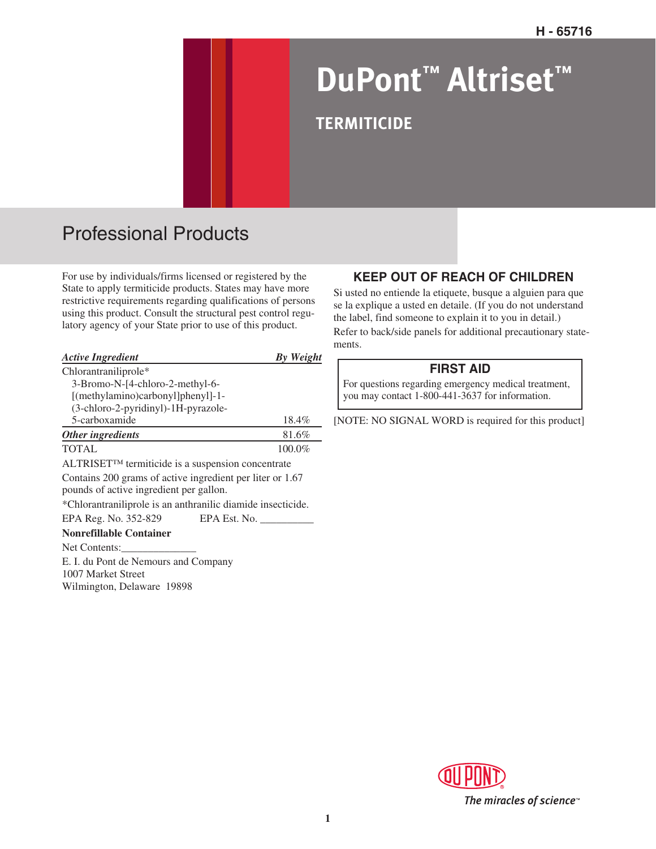# **DuPont™ Altriset™ TERMITICIDE**

## Professional Products

For use by individuals/firms licensed or registered by the State to apply termiticide products. States may have more restrictive requirements regarding qualifications of persons using this product. Consult the structural pest control regulatory agency of your State prior to use of this product.

| <b>Active Ingredient</b>                                                                             | By Weight    |
|------------------------------------------------------------------------------------------------------|--------------|
| Chlorantraniliprole*                                                                                 |              |
| 3-Bromo-N-[4-chloro-2-methyl-6-                                                                      |              |
| [(methylamino)carbonyl]phenyl]-1-                                                                    |              |
| (3-chloro-2-pyridinyl)-1H-pyrazole-                                                                  |              |
| 5-carboxamide                                                                                        | 18.4%        |
| Other ingredients                                                                                    | 81.6%        |
| <b>TOTAL</b>                                                                                         | 100.0%       |
| $ALTRISET^{TM}$ termiticide is a suspension concentrate                                              |              |
| Contains 200 grams of active ingredient per liter or 1.67<br>pounds of active ingredient per gallon. |              |
| *Chlorantraniliprole is an anthranilic diamide insecticide.                                          |              |
| EPA Reg. No. 352-829                                                                                 | EPA Est. No. |
| <b>Nonrefillable Container</b>                                                                       |              |
| Net Contents:                                                                                        |              |
| E. I. du Pont de Nemours and Company<br>1007 Market Street<br>Wilmington, Delaware 19898             |              |

## **KEEP OUT OF REACH OF CHILDREN**

Si usted no entiende la etiquete, busque a alguien para que se la explique a usted en detaile. (If you do not understand the label, find someone to explain it to you in detail.)

Refer to back/side panels for additional precautionary statements.

#### **FIRST AID**

For questions regarding emergency medical treatment, you may contact 1-800-441-3637 for information.

[NOTE: NO SIGNAL WORD is required for this product]

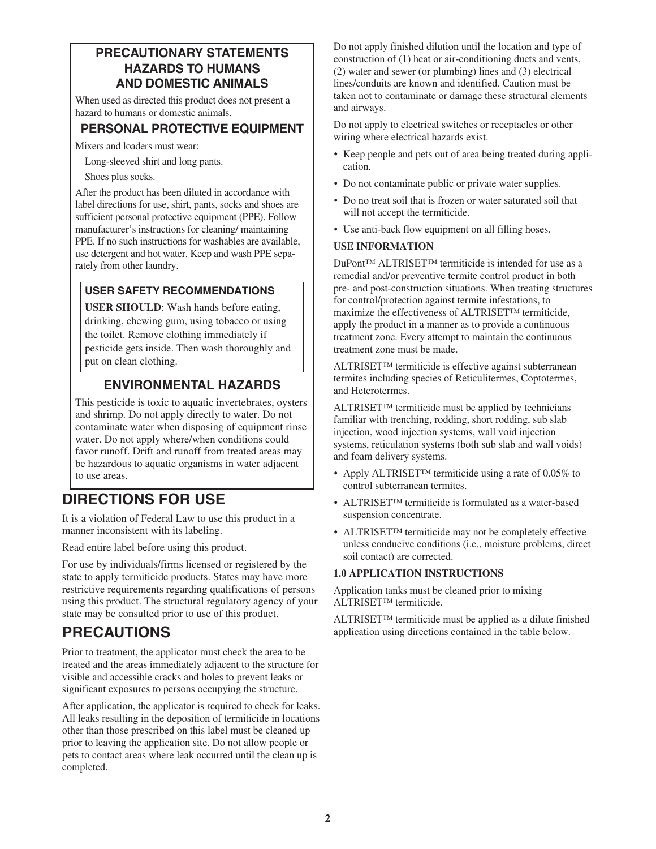## **PRECAUTIONARY STATEMENTS HAZARDS TO HUMANS AND DOMESTIC ANIMALS**

When used as directed this product does not present a hazard to humans or domestic animals.

## **PERSONAL PROTECTIVE EQUIPMENT**

Mixers and loaders must wear:

Long-sleeved shirt and long pants.

Shoes plus socks.

After the product has been diluted in accordance with label directions for use, shirt, pants, socks and shoes are sufficient personal protective equipment (PPE). Follow manufacturer's instructions for cleaning/ maintaining PPE. If no such instructions for washables are available, use detergent and hot water. Keep and wash PPE separately from other laundry.

## **USER SAFETY RECOMMENDATIONS**

**USER SHOULD**: Wash hands before eating, drinking, chewing gum, using tobacco or using the toilet. Remove clothing immediately if pesticide gets inside. Then wash thoroughly and put on clean clothing.

## **ENVIRONMENTAL HAZARDS**

This pesticide is toxic to aquatic invertebrates, oysters and shrimp. Do not apply directly to water. Do not contaminate water when disposing of equipment rinse water. Do not apply where/when conditions could favor runoff. Drift and runoff from treated areas may be hazardous to aquatic organisms in water adjacent to use areas.

## **DIRECTIONS FOR USE**

It is a violation of Federal Law to use this product in a manner inconsistent with its labeling.

Read entire label before using this product.

For use by individuals/firms licensed or registered by the state to apply termiticide products. States may have more restrictive requirements regarding qualifications of persons using this product. The structural regulatory agency of your state may be consulted prior to use of this product.

## **PRECAUTIONS**

Prior to treatment, the applicator must check the area to be treated and the areas immediately adjacent to the structure for visible and accessible cracks and holes to prevent leaks or significant exposures to persons occupying the structure.

After application, the applicator is required to check for leaks. All leaks resulting in the deposition of termiticide in locations other than those prescribed on this label must be cleaned up prior to leaving the application site. Do not allow people or pets to contact areas where leak occurred until the clean up is completed.

Do not apply finished dilution until the location and type of construction of (1) heat or air-conditioning ducts and vents, (2) water and sewer (or plumbing) lines and (3) electrical lines/conduits are known and identified. Caution must be taken not to contaminate or damage these structural elements and airways.

Do not apply to electrical switches or receptacles or other wiring where electrical hazards exist.

- Keep people and pets out of area being treated during application.
- Do not contaminate public or private water supplies.
- Do no treat soil that is frozen or water saturated soil that will not accept the termiticide.
- Use anti-back flow equipment on all filling hoses.

#### **USE INFORMATION**

DuPont™ ALTRISET™ termiticide is intended for use as a remedial and/or preventive termite control product in both pre- and post-construction situations. When treating structures for control/protection against termite infestations, to maximize the effectiveness of ALTRISET™ termiticide, apply the product in a manner as to provide a continuous treatment zone. Every attempt to maintain the continuous treatment zone must be made.

ALTRISET™ termiticide is effective against subterranean termites including species of Reticulitermes, Coptotermes, and Heterotermes.

ALTRISET™ termiticide must be applied by technicians familiar with trenching, rodding, short rodding, sub slab injection, wood injection systems, wall void injection systems, reticulation systems (both sub slab and wall voids) and foam delivery systems.

- Apply ALTRISET™ termiticide using a rate of 0.05% to control subterranean termites.
- ALTRISET<sup>TM</sup> termiticide is formulated as a water-based suspension concentrate.
- ALTRISET<sup>™</sup> termiticide may not be completely effective unless conducive conditions (i.e., moisture problems, direct soil contact) are corrected.

#### **1.0 APPLICATION INSTRUCTIONS**

Application tanks must be cleaned prior to mixing ALTRISET™ termiticide.

ALTRISET™ termiticide must be applied as a dilute finished application using directions contained in the table below.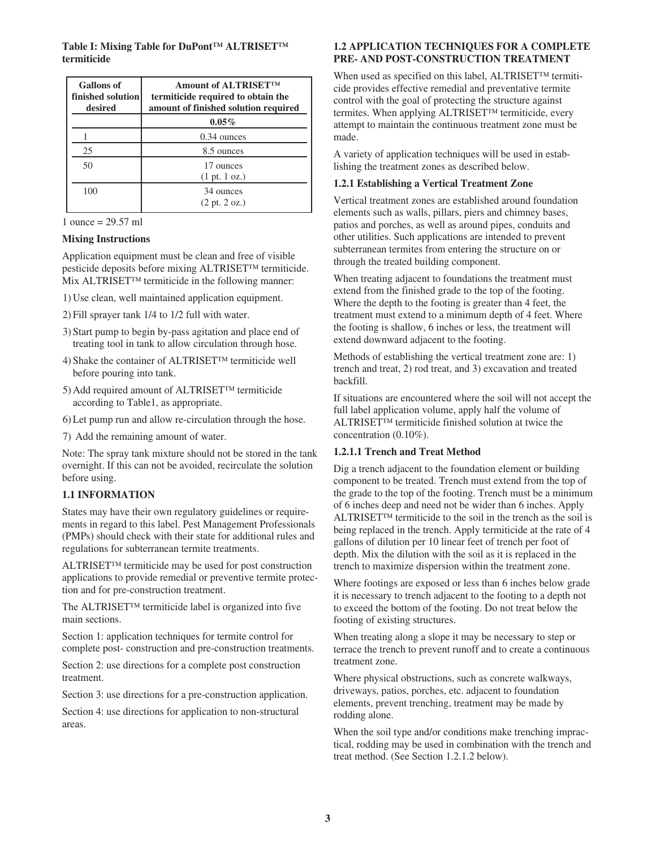**Table I: Mixing Table for DuPont™ ALTRISET™ termiticide**

| <b>Gallons</b> of<br>finished solution<br>desired | <b>Amount of ALTRISETTM</b><br>termiticide required to obtain the<br>amount of finished solution required |  |
|---------------------------------------------------|-----------------------------------------------------------------------------------------------------------|--|
|                                                   | $0.05\%$                                                                                                  |  |
|                                                   | $0.34$ ounces                                                                                             |  |
| 25                                                | 8.5 ounces                                                                                                |  |
| 50                                                | 17 ounces<br>$(1 \text{ pt. } 1 \text{ oz.})$                                                             |  |
| 100                                               | 34 ounces<br>$(2 \text{ pt. } 2 \text{ oz.})$                                                             |  |

| 1 ounce = $29.57$ ml |  |
|----------------------|--|
|----------------------|--|

#### **Mixing Instructions**

Application equipment must be clean and free of visible pesticide deposits before mixing ALTRISET™ termiticide. Mix ALTRISET™ termiticide in the following manner:

- 1) Use clean, well maintained application equipment.
- 2) Fill sprayer tank 1/4 to 1/2 full with water.
- 3) Start pump to begin by-pass agitation and place end of treating tool in tank to allow circulation through hose.
- 4) Shake the container of ALTRISET™ termiticide well before pouring into tank.
- 5) Add required amount of ALTRISET™ termiticide according to Table1, as appropriate.
- 6) Let pump run and allow re-circulation through the hose.
- 7) Add the remaining amount of water.

Note: The spray tank mixture should not be stored in the tank overnight. If this can not be avoided, recirculate the solution before using.

#### **1.1 INFORMATION**

States may have their own regulatory guidelines or requirements in regard to this label. Pest Management Professionals (PMPs) should check with their state for additional rules and regulations for subterranean termite treatments.

ALTRISET™ termiticide may be used for post construction applications to provide remedial or preventive termite protection and for pre-construction treatment.

The ALTRISET™ termiticide label is organized into five main sections.

Section 1: application techniques for termite control for complete post- construction and pre-construction treatments.

Section 2: use directions for a complete post construction treatment.

Section 3: use directions for a pre-construction application.

Section 4: use directions for application to non-structural areas.

#### **1.2 APPLICATION TECHNIQUES FOR A COMPLETE PRE- AND POST-CONSTRUCTION TREATMENT**

When used as specified on this label, ALTRISET™ termiticide provides effective remedial and preventative termite control with the goal of protecting the structure against termites. When applying ALTRISET™ termiticide, every attempt to maintain the continuous treatment zone must be made.

A variety of application techniques will be used in establishing the treatment zones as described below.

#### **1.2.1 Establishing a Vertical Treatment Zone**

Vertical treatment zones are established around foundation elements such as walls, pillars, piers and chimney bases, patios and porches, as well as around pipes, conduits and other utilities. Such applications are intended to prevent subterranean termites from entering the structure on or through the treated building component.

When treating adjacent to foundations the treatment must extend from the finished grade to the top of the footing. Where the depth to the footing is greater than 4 feet, the treatment must extend to a minimum depth of 4 feet. Where the footing is shallow, 6 inches or less, the treatment will extend downward adjacent to the footing.

Methods of establishing the vertical treatment zone are: 1) trench and treat, 2) rod treat, and 3) excavation and treated backfill.

If situations are encountered where the soil will not accept the full label application volume, apply half the volume of ALTRISET™ termiticide finished solution at twice the concentration (0.10%).

#### **1.2.1.1 Trench and Treat Method**

Dig a trench adjacent to the foundation element or building component to be treated. Trench must extend from the top of the grade to the top of the footing. Trench must be a minimum of 6 inches deep and need not be wider than 6 inches. Apply ALTRISET™ termiticide to the soil in the trench as the soil is being replaced in the trench. Apply termiticide at the rate of 4 gallons of dilution per 10 linear feet of trench per foot of depth. Mix the dilution with the soil as it is replaced in the trench to maximize dispersion within the treatment zone.

Where footings are exposed or less than 6 inches below grade it is necessary to trench adjacent to the footing to a depth not to exceed the bottom of the footing. Do not treat below the footing of existing structures.

When treating along a slope it may be necessary to step or terrace the trench to prevent runoff and to create a continuous treatment zone.

Where physical obstructions, such as concrete walkways, driveways, patios, porches, etc. adjacent to foundation elements, prevent trenching, treatment may be made by rodding alone.

When the soil type and/or conditions make trenching impractical, rodding may be used in combination with the trench and treat method. (See Section 1.2.1.2 below).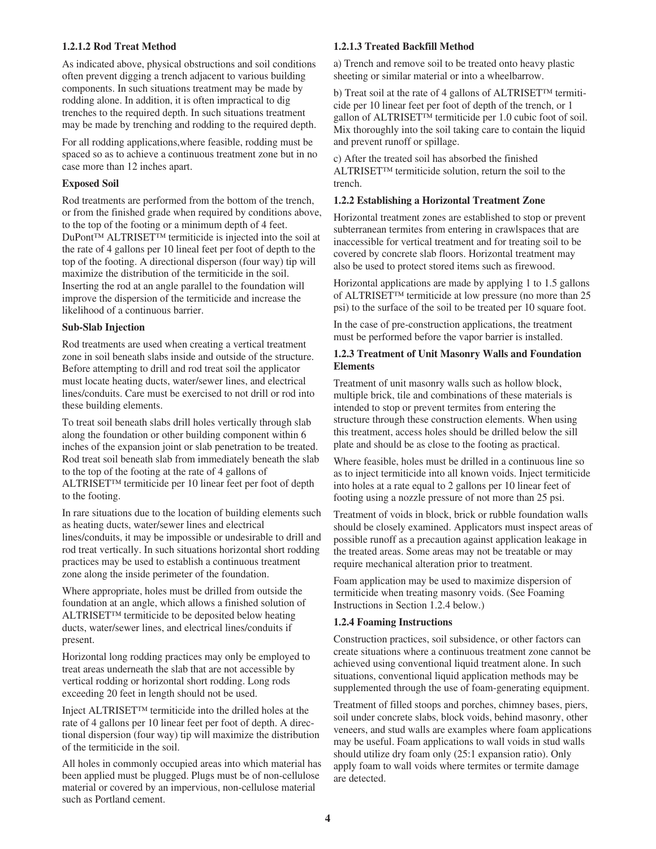#### **1.2.1.2 Rod Treat Method**

As indicated above, physical obstructions and soil conditions often prevent digging a trench adjacent to various building components. In such situations treatment may be made by rodding alone. In addition, it is often impractical to dig trenches to the required depth. In such situations treatment may be made by trenching and rodding to the required depth.

For all rodding applications,where feasible, rodding must be spaced so as to achieve a continuous treatment zone but in no case more than 12 inches apart.

#### **Exposed Soil**

Rod treatments are performed from the bottom of the trench, or from the finished grade when required by conditions above, to the top of the footing or a minimum depth of 4 feet. DuPont™ ALTRISET™ termiticide is injected into the soil at the rate of 4 gallons per 10 lineal feet per foot of depth to the top of the footing. A directional disperson (four way) tip will maximize the distribution of the termiticide in the soil. Inserting the rod at an angle parallel to the foundation will improve the dispersion of the termiticide and increase the likelihood of a continuous barrier.

#### **Sub-Slab Injection**

Rod treatments are used when creating a vertical treatment zone in soil beneath slabs inside and outside of the structure. Before attempting to drill and rod treat soil the applicator must locate heating ducts, water/sewer lines, and electrical lines/conduits. Care must be exercised to not drill or rod into these building elements.

To treat soil beneath slabs drill holes vertically through slab along the foundation or other building component within 6 inches of the expansion joint or slab penetration to be treated. Rod treat soil beneath slab from immediately beneath the slab to the top of the footing at the rate of 4 gallons of ALTRISET™ termiticide per 10 linear feet per foot of depth to the footing.

In rare situations due to the location of building elements such as heating ducts, water/sewer lines and electrical lines/conduits, it may be impossible or undesirable to drill and rod treat vertically. In such situations horizontal short rodding practices may be used to establish a continuous treatment zone along the inside perimeter of the foundation.

Where appropriate, holes must be drilled from outside the foundation at an angle, which allows a finished solution of ALTRISET™ termiticide to be deposited below heating ducts, water/sewer lines, and electrical lines/conduits if present.

Horizontal long rodding practices may only be employed to treat areas underneath the slab that are not accessible by vertical rodding or horizontal short rodding. Long rods exceeding 20 feet in length should not be used.

Inject ALTRISET™ termiticide into the drilled holes at the rate of 4 gallons per 10 linear feet per foot of depth. A directional dispersion (four way) tip will maximize the distribution of the termiticide in the soil.

All holes in commonly occupied areas into which material has been applied must be plugged. Plugs must be of non-cellulose material or covered by an impervious, non-cellulose material such as Portland cement.

#### **1.2.1.3 Treated Backfill Method**

a) Trench and remove soil to be treated onto heavy plastic sheeting or similar material or into a wheelbarrow.

b) Treat soil at the rate of 4 gallons of ALTRISET™ termiticide per 10 linear feet per foot of depth of the trench, or 1 gallon of ALTRISET™ termiticide per 1.0 cubic foot of soil. Mix thoroughly into the soil taking care to contain the liquid and prevent runoff or spillage.

c) After the treated soil has absorbed the finished ALTRISET™ termiticide solution, return the soil to the trench.

#### **1.2.2 Establishing a Horizontal Treatment Zone**

Horizontal treatment zones are established to stop or prevent subterranean termites from entering in crawlspaces that are inaccessible for vertical treatment and for treating soil to be covered by concrete slab floors. Horizontal treatment may also be used to protect stored items such as firewood.

Horizontal applications are made by applying 1 to 1.5 gallons of ALTRISET™ termiticide at low pressure (no more than 25 psi) to the surface of the soil to be treated per 10 square foot.

In the case of pre-construction applications, the treatment must be performed before the vapor barrier is installed.

#### **1.2.3 Treatment of Unit Masonry Walls and Foundation Elements**

Treatment of unit masonry walls such as hollow block, multiple brick, tile and combinations of these materials is intended to stop or prevent termites from entering the structure through these construction elements. When using this treatment, access holes should be drilled below the sill plate and should be as close to the footing as practical.

Where feasible, holes must be drilled in a continuous line so as to inject termiticide into all known voids. Inject termiticide into holes at a rate equal to 2 gallons per 10 linear feet of footing using a nozzle pressure of not more than 25 psi.

Treatment of voids in block, brick or rubble foundation walls should be closely examined. Applicators must inspect areas of possible runoff as a precaution against application leakage in the treated areas. Some areas may not be treatable or may require mechanical alteration prior to treatment.

Foam application may be used to maximize dispersion of termiticide when treating masonry voids. (See Foaming Instructions in Section 1.2.4 below.)

#### **1.2.4 Foaming Instructions**

Construction practices, soil subsidence, or other factors can create situations where a continuous treatment zone cannot be achieved using conventional liquid treatment alone. In such situations, conventional liquid application methods may be supplemented through the use of foam-generating equipment.

Treatment of filled stoops and porches, chimney bases, piers, soil under concrete slabs, block voids, behind masonry, other veneers, and stud walls are examples where foam applications may be useful. Foam applications to wall voids in stud walls should utilize dry foam only (25:1 expansion ratio). Only apply foam to wall voids where termites or termite damage are detected.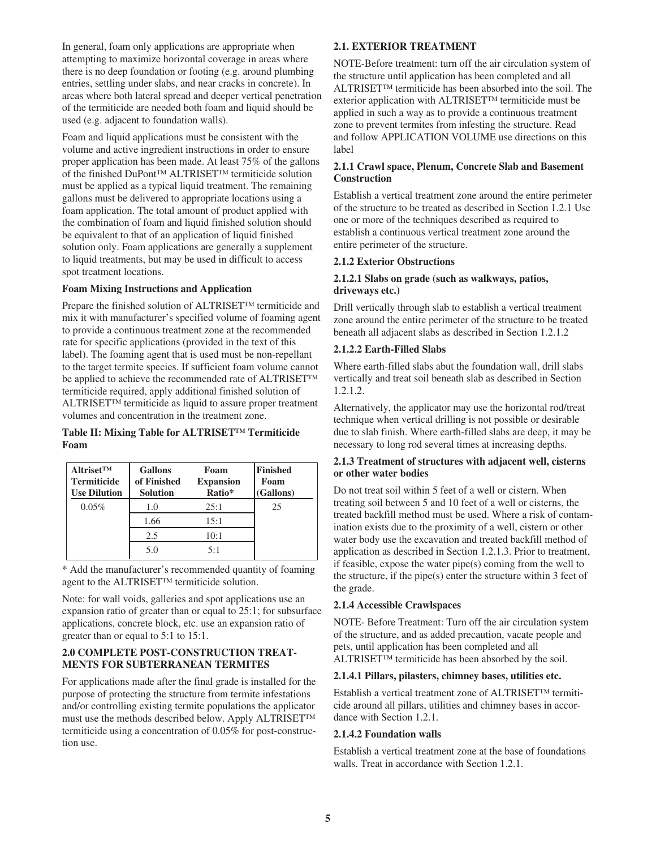In general, foam only applications are appropriate when attempting to maximize horizontal coverage in areas where there is no deep foundation or footing (e.g. around plumbing entries, settling under slabs, and near cracks in concrete). In areas where both lateral spread and deeper vertical penetration of the termiticide are needed both foam and liquid should be used (e.g. adjacent to foundation walls).

Foam and liquid applications must be consistent with the volume and active ingredient instructions in order to ensure proper application has been made. At least 75% of the gallons of the finished DuPont™ ALTRISET™ termiticide solution must be applied as a typical liquid treatment. The remaining gallons must be delivered to appropriate locations using a foam application. The total amount of product applied with the combination of foam and liquid finished solution should be equivalent to that of an application of liquid finished solution only. Foam applications are generally a supplement to liquid treatments, but may be used in difficult to access spot treatment locations.

#### **Foam Mixing Instructions and Application**

Prepare the finished solution of ALTRISET™ termiticide and mix it with manufacturer's specified volume of foaming agent to provide a continuous treatment zone at the recommended rate for specific applications (provided in the text of this label). The foaming agent that is used must be non-repellant to the target termite species. If sufficient foam volume cannot be applied to achieve the recommended rate of ALTRISET™ termiticide required, apply additional finished solution of ALTRISET™ termiticide as liquid to assure proper treatment volumes and concentration in the treatment zone.

#### **Table II: Mixing Table for ALTRISET™ Termiticide Foam**

| $Altriset^{TM}$<br><b>Termiticide</b><br><b>Use Dilution</b> | <b>Gallons</b><br>of Finished<br><b>Solution</b> | Foam<br><b>Expansion</b><br>Ratio* | Finished<br>Foam<br>(Gallons) |
|--------------------------------------------------------------|--------------------------------------------------|------------------------------------|-------------------------------|
| 0.05%                                                        | 1.0                                              | 25:1                               | 25                            |
|                                                              | 1.66                                             | 15:1                               |                               |
|                                                              | 2.5                                              | 10:1                               |                               |
|                                                              | 5.0                                              | 5:1                                |                               |

\* Add the manufacturer's recommended quantity of foaming agent to the ALTRISET™ termiticide solution.

Note: for wall voids, galleries and spot applications use an expansion ratio of greater than or equal to 25:1; for subsurface applications, concrete block, etc. use an expansion ratio of greater than or equal to 5:1 to 15:1.

#### **2.0 COMPLETE POST-CONSTRUCTION TREAT-MENTS FOR SUBTERRANEAN TERMITES**

For applications made after the final grade is installed for the purpose of protecting the structure from termite infestations and/or controlling existing termite populations the applicator must use the methods described below. Apply ALTRISET™ termiticide using a concentration of 0.05% for post-construction use.

#### **2.1. EXTERIOR TREATMENT**

NOTE-Before treatment: turn off the air circulation system of the structure until application has been completed and all ALTRISET™ termiticide has been absorbed into the soil. The exterior application with ALTRISET™ termiticide must be applied in such a way as to provide a continuous treatment zone to prevent termites from infesting the structure. Read and follow APPLICATION VOLUME use directions on this label

#### **2.1.1 Crawl space, Plenum, Concrete Slab and Basement Construction**

Establish a vertical treatment zone around the entire perimeter of the structure to be treated as described in Section 1.2.1 Use one or more of the techniques described as required to establish a continuous vertical treatment zone around the entire perimeter of the structure.

#### **2.1.2 Exterior Obstructions**

#### **2.1.2.1 Slabs on grade (such as walkways, patios, driveways etc.)**

Drill vertically through slab to establish a vertical treatment zone around the entire perimeter of the structure to be treated beneath all adjacent slabs as described in Section 1.2.1.2

#### **2.1.2.2 Earth-Filled Slabs**

Where earth-filled slabs abut the foundation wall, drill slabs vertically and treat soil beneath slab as described in Section 1.2.1.2.

Alternatively, the applicator may use the horizontal rod/treat technique when vertical drilling is not possible or desirable due to slab finish. Where earth-filled slabs are deep, it may be necessary to long rod several times at increasing depths.

#### **2.1.3 Treatment of structures with adjacent well, cisterns or other water bodies**

Do not treat soil within 5 feet of a well or cistern. When treating soil between 5 and 10 feet of a well or cisterns, the treated backfill method must be used. Where a risk of contamination exists due to the proximity of a well, cistern or other water body use the excavation and treated backfill method of application as described in Section 1.2.1.3. Prior to treatment, if feasible, expose the water pipe(s) coming from the well to the structure, if the pipe(s) enter the structure within 3 feet of the grade.

#### **2.1.4 Accessible Crawlspaces**

NOTE- Before Treatment: Turn off the air circulation system of the structure, and as added precaution, vacate people and pets, until application has been completed and all ALTRISET™ termiticide has been absorbed by the soil.

#### **2.1.4.1 Pillars, pilasters, chimney bases, utilities etc.**

Establish a vertical treatment zone of ALTRISET™ termiticide around all pillars, utilities and chimney bases in accordance with Section 1.2.1.

#### **2.1.4.2 Foundation walls**

Establish a vertical treatment zone at the base of foundations walls. Treat in accordance with Section 1.2.1.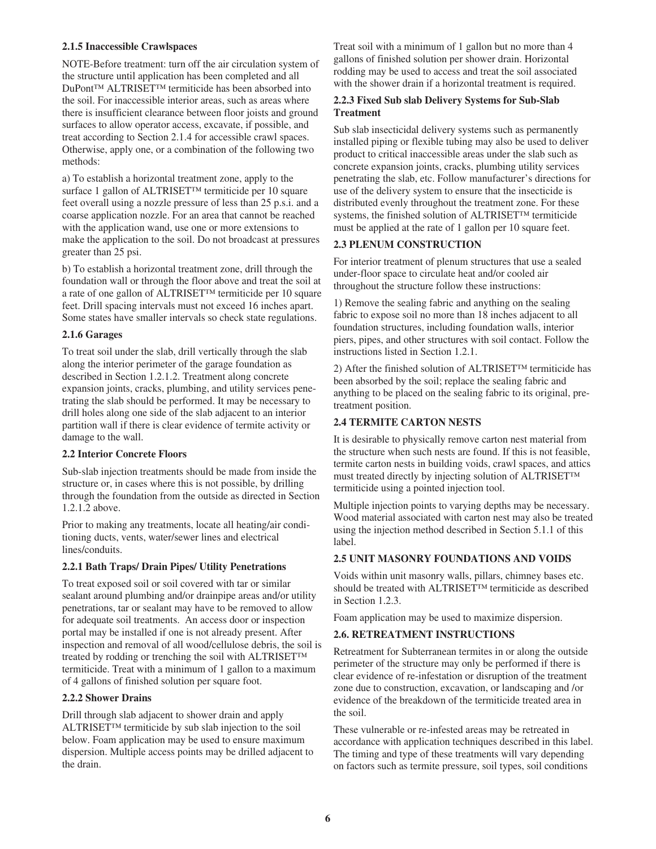#### **2.1.5 Inaccessible Crawlspaces**

NOTE-Before treatment: turn off the air circulation system of the structure until application has been completed and all DuPont™ ALTRISET™ termiticide has been absorbed into the soil. For inaccessible interior areas, such as areas where there is insufficient clearance between floor joists and ground surfaces to allow operator access, excavate, if possible, and treat according to Section 2.1.4 for accessible crawl spaces. Otherwise, apply one, or a combination of the following two methods:

a) To establish a horizontal treatment zone, apply to the surface 1 gallon of ALTRISET™ termiticide per 10 square feet overall using a nozzle pressure of less than 25 p.s.i. and a coarse application nozzle. For an area that cannot be reached with the application wand, use one or more extensions to make the application to the soil. Do not broadcast at pressures greater than 25 psi.

b) To establish a horizontal treatment zone, drill through the foundation wall or through the floor above and treat the soil at a rate of one gallon of ALTRISET™ termiticide per 10 square feet. Drill spacing intervals must not exceed 16 inches apart. Some states have smaller intervals so check state regulations.

#### **2.1.6 Garages**

To treat soil under the slab, drill vertically through the slab along the interior perimeter of the garage foundation as described in Section 1.2.1.2. Treatment along concrete expansion joints, cracks, plumbing, and utility services penetrating the slab should be performed. It may be necessary to drill holes along one side of the slab adjacent to an interior partition wall if there is clear evidence of termite activity or damage to the wall.

#### **2.2 Interior Concrete Floors**

Sub-slab injection treatments should be made from inside the structure or, in cases where this is not possible, by drilling through the foundation from the outside as directed in Section 1.2.1.2 above.

Prior to making any treatments, locate all heating/air conditioning ducts, vents, water/sewer lines and electrical lines/conduits.

#### **2.2.1 Bath Traps/ Drain Pipes/ Utility Penetrations**

To treat exposed soil or soil covered with tar or similar sealant around plumbing and/or drainpipe areas and/or utility penetrations, tar or sealant may have to be removed to allow for adequate soil treatments. An access door or inspection portal may be installed if one is not already present. After inspection and removal of all wood/cellulose debris, the soil is treated by rodding or trenching the soil with ALTRISET™ termiticide. Treat with a minimum of 1 gallon to a maximum of 4 gallons of finished solution per square foot.

#### **2.2.2 Shower Drains**

Drill through slab adjacent to shower drain and apply ALTRISET™ termiticide by sub slab injection to the soil below. Foam application may be used to ensure maximum dispersion. Multiple access points may be drilled adjacent to the drain.

Treat soil with a minimum of 1 gallon but no more than 4 gallons of finished solution per shower drain. Horizontal rodding may be used to access and treat the soil associated with the shower drain if a horizontal treatment is required.

#### **2.2.3 Fixed Sub slab Delivery Systems for Sub-Slab Treatment**

Sub slab insecticidal delivery systems such as permanently installed piping or flexible tubing may also be used to deliver product to critical inaccessible areas under the slab such as concrete expansion joints, cracks, plumbing utility services penetrating the slab, etc. Follow manufacturer's directions for use of the delivery system to ensure that the insecticide is distributed evenly throughout the treatment zone. For these systems, the finished solution of ALTRISET™ termiticide must be applied at the rate of 1 gallon per 10 square feet.

#### **2.3 PLENUM CONSTRUCTION**

For interior treatment of plenum structures that use a sealed under-floor space to circulate heat and/or cooled air throughout the structure follow these instructions:

1) Remove the sealing fabric and anything on the sealing fabric to expose soil no more than 18 inches adjacent to all foundation structures, including foundation walls, interior piers, pipes, and other structures with soil contact. Follow the instructions listed in Section 1.2.1.

2) After the finished solution of ALTRISET™ termiticide has been absorbed by the soil; replace the sealing fabric and anything to be placed on the sealing fabric to its original, pretreatment position.

#### **2.4 TERMITE CARTON NESTS**

It is desirable to physically remove carton nest material from the structure when such nests are found. If this is not feasible, termite carton nests in building voids, crawl spaces, and attics must treated directly by injecting solution of ALTRISET™ termiticide using a pointed injection tool.

Multiple injection points to varying depths may be necessary. Wood material associated with carton nest may also be treated using the injection method described in Section 5.1.1 of this label.

#### **2.5 UNIT MASONRY FOUNDATIONS AND VOIDS**

Voids within unit masonry walls, pillars, chimney bases etc. should be treated with ALTRISET™ termiticide as described in Section 1.2.3.

Foam application may be used to maximize dispersion.

#### **2.6. RETREATMENT INSTRUCTIONS**

Retreatment for Subterranean termites in or along the outside perimeter of the structure may only be performed if there is clear evidence of re-infestation or disruption of the treatment zone due to construction, excavation, or landscaping and /or evidence of the breakdown of the termiticide treated area in the soil.

These vulnerable or re-infested areas may be retreated in accordance with application techniques described in this label. The timing and type of these treatments will vary depending on factors such as termite pressure, soil types, soil conditions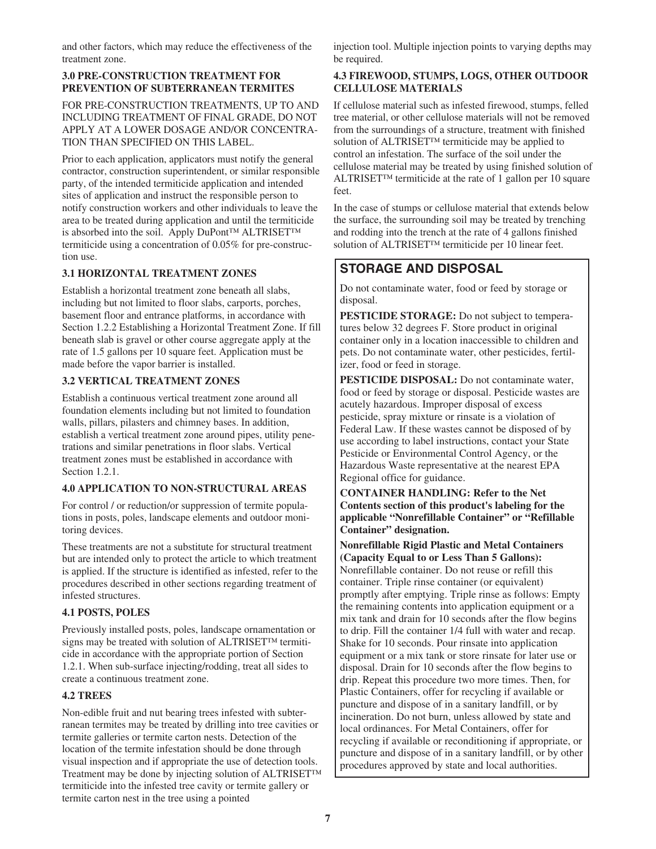and other factors, which may reduce the effectiveness of the treatment zone.

#### **3.0 PRE-CONSTRUCTION TREATMENT FOR PREVENTION OF SUBTERRANEAN TERMITES**

FOR PRE-CONSTRUCTION TREATMENTS, UP TO AND INCLUDING TREATMENT OF FINAL GRADE, DO NOT APPLY AT A LOWER DOSAGE AND/OR CONCENTRA-TION THAN SPECIFIED ON THIS LABEL.

Prior to each application, applicators must notify the general contractor, construction superintendent, or similar responsible party, of the intended termiticide application and intended sites of application and instruct the responsible person to notify construction workers and other individuals to leave the area to be treated during application and until the termiticide is absorbed into the soil. Apply DuPont™ ALTRISET™ termiticide using a concentration of 0.05% for pre-construction use.

#### **3.1 HORIZONTAL TREATMENT ZONES**

Establish a horizontal treatment zone beneath all slabs, including but not limited to floor slabs, carports, porches, basement floor and entrance platforms, in accordance with Section 1.2.2 Establishing a Horizontal Treatment Zone. If fill beneath slab is gravel or other course aggregate apply at the rate of 1.5 gallons per 10 square feet. Application must be made before the vapor barrier is installed.

#### **3.2 VERTICAL TREATMENT ZONES**

Establish a continuous vertical treatment zone around all foundation elements including but not limited to foundation walls, pillars, pilasters and chimney bases. In addition, establish a vertical treatment zone around pipes, utility penetrations and similar penetrations in floor slabs. Vertical treatment zones must be established in accordance with Section 1.2.1.

#### **4.0 APPLICATION TO NON-STRUCTURAL AREAS**

For control / or reduction/or suppression of termite populations in posts, poles, landscape elements and outdoor monitoring devices.

These treatments are not a substitute for structural treatment but are intended only to protect the article to which treatment is applied. If the structure is identified as infested, refer to the procedures described in other sections regarding treatment of infested structures.

#### **4.1 POSTS, POLES**

Previously installed posts, poles, landscape ornamentation or signs may be treated with solution of ALTRISET™ termiticide in accordance with the appropriate portion of Section 1.2.1. When sub-surface injecting/rodding, treat all sides to create a continuous treatment zone.

#### **4.2 TREES**

Non-edible fruit and nut bearing trees infested with subterranean termites may be treated by drilling into tree cavities or termite galleries or termite carton nests. Detection of the location of the termite infestation should be done through visual inspection and if appropriate the use of detection tools. Treatment may be done by injecting solution of ALTRISET™ termiticide into the infested tree cavity or termite gallery or termite carton nest in the tree using a pointed

injection tool. Multiple injection points to varying depths may be required.

#### **4.3 FIREWOOD, STUMPS, LOGS, OTHER OUTDOOR CELLULOSE MATERIALS**

If cellulose material such as infested firewood, stumps, felled tree material, or other cellulose materials will not be removed from the surroundings of a structure, treatment with finished solution of ALTRISET™ termiticide may be applied to control an infestation. The surface of the soil under the cellulose material may be treated by using finished solution of ALTRISET™ termiticide at the rate of 1 gallon per 10 square feet.

In the case of stumps or cellulose material that extends below the surface, the surrounding soil may be treated by trenching and rodding into the trench at the rate of 4 gallons finished solution of ALTRISET™ termiticide per 10 linear feet.

## **STORAGE AND DISPOSAL**

Do not contaminate water, food or feed by storage or disposal.

**PESTICIDE STORAGE:** Do not subject to temperatures below 32 degrees F. Store product in original container only in a location inaccessible to children and pets. Do not contaminate water, other pesticides, fertilizer, food or feed in storage.

**PESTICIDE DISPOSAL:** Do not contaminate water, food or feed by storage or disposal. Pesticide wastes are acutely hazardous. Improper disposal of excess pesticide, spray mixture or rinsate is a violation of Federal Law. If these wastes cannot be disposed of by use according to label instructions, contact your State Pesticide or Environmental Control Agency, or the Hazardous Waste representative at the nearest EPA Regional office for guidance.

**CONTAINER HANDLING: Refer to the Net Contents section of this product's labeling for the applicable "Nonrefillable Container" or "Refillable Container" designation.**

**Nonrefillable Rigid Plastic and Metal Containers (Capacity Equal to or Less Than 5 Gallons):** Nonrefillable container. Do not reuse or refill this container. Triple rinse container (or equivalent) promptly after emptying. Triple rinse as follows: Empty the remaining contents into application equipment or a mix tank and drain for 10 seconds after the flow begins to drip. Fill the container 1/4 full with water and recap. Shake for 10 seconds. Pour rinsate into application equipment or a mix tank or store rinsate for later use or disposal. Drain for 10 seconds after the flow begins to drip. Repeat this procedure two more times. Then, for Plastic Containers, offer for recycling if available or puncture and dispose of in a sanitary landfill, or by incineration. Do not burn, unless allowed by state and local ordinances. For Metal Containers, offer for recycling if available or reconditioning if appropriate, or puncture and dispose of in a sanitary landfill, or by other procedures approved by state and local authorities.